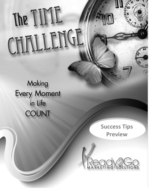# The TIME CHALLENGE

Making **Every Moment** in Life **COUNT** 

> **Success Tips Preview**



*The Time Challenger Countries Countries Countries Countries Countries Countries Countries Countries Countries*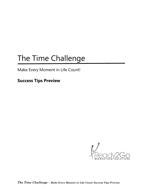### The Time Challenge

Make Every Moment in Life Count!

**Success Tips Preview**

 $\frac{1}{\sqrt{2}}$ 

*The Time Challenge – Make Every Moment in Life Count Success Tips Preview*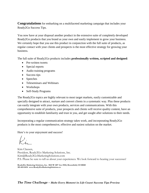**Congratulations** for embarking on a multifaceted marketing campaign that includes your Ready2Go Success Tips.

You now have at your disposal another product in the extensive suite of completely developed Ready2Go products that you brand as your own and easily implement to grow your business. We certainly hope that you use this product in conjunction with the full suite of products, as regular contact with your clients and prospects is the most effective strategy for growing your business.

The full suite of Ready2Go products includes **professionally written, scripted and designed**:

- Pre-written tweets
- Special reports
- Audio training programs
- Success tips
- Speeches
- Teleseminars and Webinars
- Workshops
- Self-Study Programs

The Ready2Go topics are highly relevant to most target markets, easily customizable and specially designed to attract, nurture and convert clients in a systematic way. Plus these products can easily integrate with your own products, services and communications. With this comprehensive suite of products, your prospects and clients will receive quality content, have an opportunity to establish familiarity and trust in you, and get sought after solutions to their needs.

Incorporating a regular communication strategy takes work, and incorporating Ready2Go products is the most comprehensive, effective and easiest solution on the market.

Here's to your enjoyment and success!

Kim Clausen, President, Ready2Go Marketing Solutions, Inc. Kim@Ready2GoMarketingSolutions.com P.S. Please be sure to tell us about your experiences. We look forward to hearing your successes!

**Ready2Go Marketing Solutions, Inc. 5023 W 120th Ave #184, Broomfield, CO 80020 303-465-0454 www.Ready2GoMarketingSolutions.co**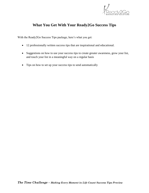

#### **What You Get With Your Ready2Go Success Tips**

With the Ready2Go Success Tips package, here's what you get:

- 12 professionally written success tips that are inspirational and educational.
- Suggestions on how to use your success tips to create greater awareness, grow your list, and touch your list in a meaningful way on a regular basis
- Tips on how to set up your success tips to send automatically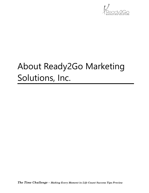

## About Ready2Go Marketing Solutions, Inc.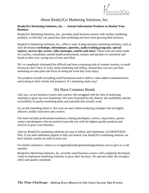

#### About Ready2Go Marketing Solutions, Inc.

#### **Ready2Go Marketing Solutions, Inc. — Instant Information Products to Market Your Business**

Ready2Go Marketing Solutions, Inc., provides small business owners with turnkey marketing products, so that they can spend less time marketing and more time growing their business.

Ready2Go Marketing Solutions, Inc., offers a suite of plug-and-play marketing solutions, such as fully developed **workshops, teleseminars, speeches, audio training programs**, **special reports, success tips, tweets, video montages, articles and more**! These tools are ready-made for coaches, consultants, mental health professionals, trainers and speakers to customize and brand as their own, saving tons of time and effort.

We've completely eliminated the difficult and time-consuming task of content creation, so small businesses don't have to worry about marketing and selling. Instead they can now put their marketing on auto-pilot and focus on doing the work they truly enjoy.

Our products include everything small businesses need to deliver value-added communications and training to their clients and prospects. It's marketing made easy!

#### We Have Common Bonds

Like you, we are business owners and coaches who struggled with the lack of marketing materials to grow our own businesses. We were frustrated by the choices, the availability and the accessibility of quality marketing plans and materials that actually work.

So we did something about it. We went out and crafted marketing strategies that are highly effective, boldly innovative and creative.

Our team includes professional marketers, training developers, writers, copywriters, speech writers and designers who are poised to provide you with the highest quality products and services to grow your business.

And our Ready2Go marketing solutions are easy to follow and implement, GUARANTEED. Plus, if you need additional support to help you launch your Ready2Go marketing solution, we have trained coaches on staff to assist you.

For further assistance, contact us at support@ready2gomarketingsolutions.com or give us a call anytime.

*Ready2Go Marketing Solutions, Inc. provides small business owners with completely developed, ready-to-implement marketing solutions to grow their business. We operate under the strongest ethics and quality standards.*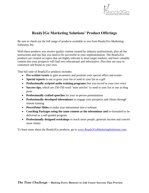

#### **Ready2Go Marketing Solutions' Product Offerings**

Be sure to check out the full range of products available to you from Ready2Go Marketing Solutions, Inc.

With these products you receive quality content created by industry professionals, plus all the instructions and tips that you need to be successful in your implementation. The Ready2Go products are created on topics that are highly relevant to most target markets, and have valuable content that your prospects will find very educational and informative. Plus they are easy to customize and brand as your own.

That full suite of Ready2Go products includes:

- **Pre-written tweets** to gain awareness and promote your special offers and events
- **Special reports** to use to grow your list or send to your list as a gift
- **Professionally scripted audio training programs** that you record in your own voice
- **Success tips,** which are 250-350 word "mini articles" to send to your list or use as blog posts
- **Professionally crafted speeches** for your in-person presentations
- **Professionally developed teleseminars** to engage your prospects and clients through remote training
- **PowerPoint Slides** to make your teleseminar into a webinar.
- **Coaching Packages using the same content as the teleseminar and** re-formatted to be delivered as a self-guided program.
- **Professionally designed workshops** to reach more people, generate income and convert more clients

To learn more about the Ready2Go products, go to [www.Ready2GoMarketingSolutions.com.](http://www.ready2gomarketingsolutions.com/)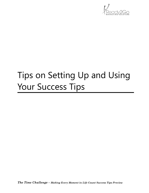

## Tips on Setting Up and Using Your Success Tips

*The Time Challenge – Making Every Moment in Life Count Success Tips Preview*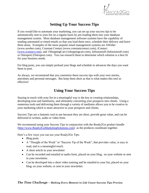

#### **Setting Up Your Success Tips**

If you would like to automate your marketing, you can set up your success tips to be automatically sent to your list on a regular basis by pre-loading them into your database management system. Most database management software systems have the capability of sending automated or timed emails so that you load them once, schedule their delivery and leave them alone. Examples of the more popular email management systems are AWeber (www.aweber.com), Constant Contact (www.constantcontact.com), iContact [\(www.icontact.com\)](http://www.icontact.com/), and 1ShoppingCart (1shoppingcart.com), Infusionsoft (Infusionsoft.com) or Ontraport (Ontraport.com). You can research these to determine which solution is a best fit for your business needs.

For blog posts, you can simply preload your blogs and schedule in advances the days you want them to post.

As always, we recommend that you customize these success tips with your own stories, anecdotes and personal messages. But keep them short as that is what makes this tool so effective!

#### **Using Your Success Tips**

Staying in touch with your list in a meaningful way is the key to creating relationships, developing trust and familiarity, and ultimately converting your prospects into clients. Using a numerous tools and delivering them through a variety of mediums allows you to be creative in your marketing which is more attractive to your prospects and clients.

Success Tips are a fantastic tool to use because they are short, provide great value, and can be delivered in written, audio or video form.

We recommend using your Success Tips in conjunction with the Ready2Go product bundle [\(http://www.Ready2GoMarketingSolutions.com\)](http://www.ready2gomarketingsolutions.com/) as the products coordinate together.

Here's a few ways you can use your Ready2Go Tips:

- Blog posts
- A "Thought of the Week" or "Success Tip of the Week", that provides value, is easy to read, and is a meaningful touch.
- A short article in your newsletter
- Can be recorded and emailed in audio form, placed on your blog, on your website or sent in your newsletter.
- Can be developed into a short video training and be emailed to your list, placed on your blog, on your website, or sent in your newsletter.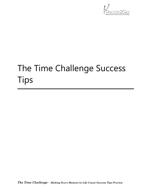

## The Time Challenge Success Tips